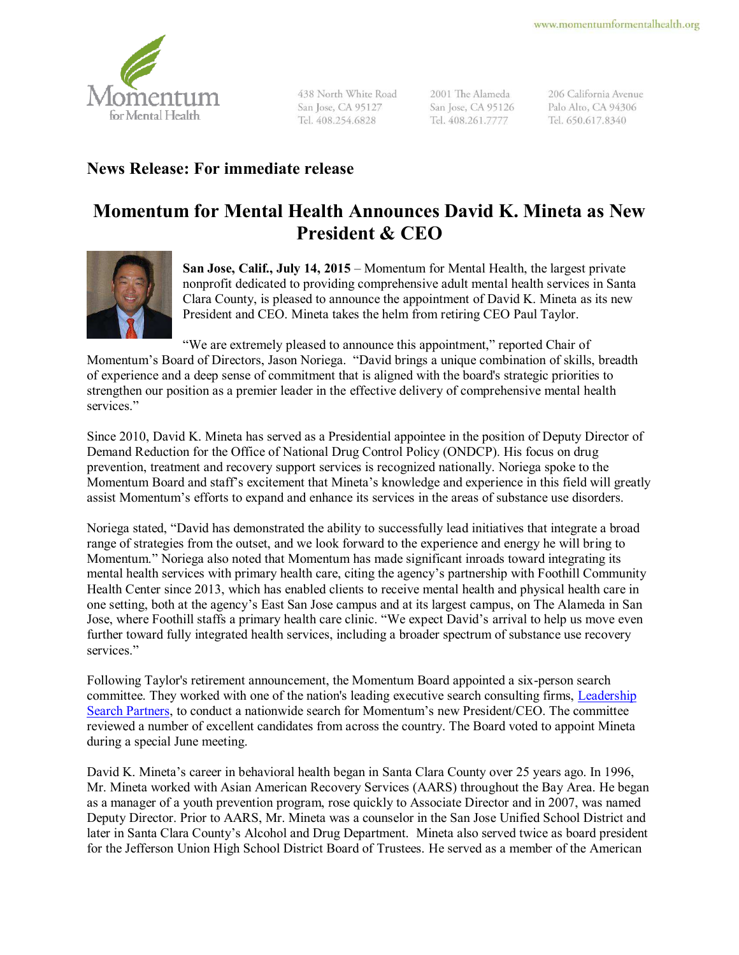

438 North White Road San Jose, CA 95127 Tel. 408.254.6828

2001 The Alameda San Jose, CA 95126 Tel. 408.261.7777

206 California Avenue Palo Alto, CA 94306 Tel. 650.617.8340

## **News Release: For immediate release**

## **Momentum for Mental Health Announces David K. Mineta as New President & CEO**



**San Jose, Calif., July 14, 2015** – Momentum for Mental Health, the largest private nonprofit dedicated to providing comprehensive adult mental health services in Santa Clara County, is pleased to announce the appointment of David K. Mineta as its new President and CEO. Mineta takes the helm from retiring CEO Paul Taylor.

"We are extremely pleased to announce this appointment," reported Chair of Momentum's Board of Directors, Jason Noriega. "David brings a unique combination of skills, breadth of experience and a deep sense of commitment that is aligned with the board's strategic priorities to strengthen our position as a premier leader in the effective delivery of comprehensive mental health services."

Since 2010, David K. Mineta has served as a Presidential appointee in the position of Deputy Director of Demand Reduction for the Office of National Drug Control Policy (ONDCP). His focus on drug prevention, treatment and recovery support services is recognized nationally. Noriega spoke to the Momentum Board and staff's excitement that Mineta's knowledge and experience in this field will greatly assist Momentum's efforts to expand and enhance its services in the areas of substance use disorders.

Noriega stated, "David has demonstrated the ability to successfully lead initiatives that integrate a broad range of strategies from the outset, and we look forward to the experience and energy he will bring to Momentum." Noriega also noted that Momentum has made significant inroads toward integrating its mental health services with primary health care, citing the agency's partnership with Foothill Community Health Center since 2013, which has enabled clients to receive mental health and physical health care in one setting, both at the agency's East San Jose campus and at its largest campus, on The Alameda in San Jose, where Foothill staffs a primary health care clinic. "We expect David's arrival to help us move even further toward fully integrated health services, including a broader spectrum of substance use recovery services."

Following Taylor's retirement announcement, the Momentum Board appointed a six-person search committee. They worked with one of the nation's leading executive search consulting firms, [Leadership](http://leadershipsearch.com/)  [Search Partners](http://leadershipsearch.com/), to conduct a nationwide search for Momentum's new President/CEO. The committee reviewed a number of excellent candidates from across the country. The Board voted to appoint Mineta during a special June meeting.

David K. Mineta's career in behavioral health began in Santa Clara County over 25 years ago. In 1996, Mr. Mineta worked with Asian American Recovery Services (AARS) throughout the Bay Area. He began as a manager of a youth prevention program, rose quickly to Associate Director and in 2007, was named Deputy Director. Prior to AARS, Mr. Mineta was a counselor in the San Jose Unified School District and later in Santa Clara County's Alcohol and Drug Department. Mineta also served twice as board president for the Jefferson Union High School District Board of Trustees. He served as a member of the American